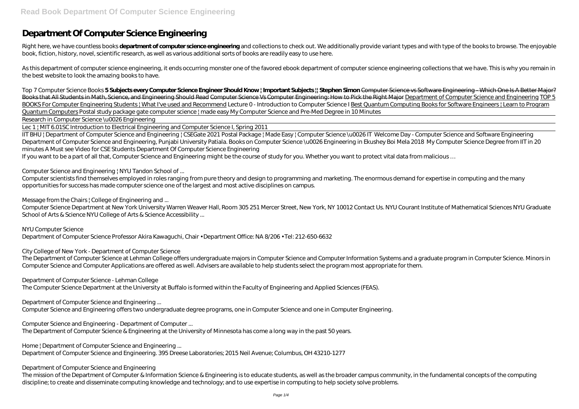# **Department Of Computer Science Engineering**

Right here, we have countless books department of computer science engineering and collections to check out. We additionally provide variant types and with type of the books to browse. The enjoyable book, fiction, history, novel, scientific research, as well as various additional sorts of books are readily easy to use here.

As this department of computer science engineering, it ends occurring monster one of the favored ebook department of computer science engineering collections that we have. This is why you remain in the best website to look the amazing books to have.

Top 7 Computer Science Books **5 Subjects every Computer Science Engineer Should Know | Important Subjects || Stephen Simon** Computer Science vs Software Engineering - Which One Is A Better Major? Books that All Students in Math, Science, and Engineering Should Read Computer Science Vs Computer Engineering: How to Pick the Right Major Department of Computer Science and Engineering TOP 5 BOOKS For Computer Engineering Students | What I've used and Recommend *Lecture 0- Introduction to Computer Science I* Best Quantum Computing Books for Software Engineers | Learn to Program Quantum Computers *Postal study package gate computer science | made easy* My Computer Science and Pre-Med Degree in 10 Minutes

Research in Computer Science \u0026 Engineering

Lec 1 | MIT 6.01SC Introduction to Electrical Engineering and Computer Science I, Spring 2011

The Department of Computer Science at Lehman College offers undergraduate majors in Computer Science and Computer Information Systems and a graduate program in Computer Science. Minors in Computer Science and Computer Applications are offered as well. Advisers are available to help students select the program most appropriate for them.

IIT BHU | Department of Computer Science and Engineering | CSE*Gate 2021 Postal Package | Made Easy | Computer Science \u0026 IT Welcome Day - Computer Science and Software Engineering Department of Computer Science and Engineering, Punjabi University Patiala. Books on Computer Science \u0026 Engineering in Ekushey Boi Mela 2018 My Computer Science Degree from IIT in 20 minutes* A Must see Video for CSE Students *Department Of Computer Science Engineering*

If you want to be a part of all that, Computer Science and Engineering might be the course of study for you. Whether you want to protect vital data from malicious …

# *Computer Science and Engineering | NYU Tandon School of ...*

The mission of the Department of Computer & Information Science & Engineering is to educate students, as well as the broader campus community, in the fundamental concepts of the computing discipline; to create and disseminate computing knowledge and technology; and to use expertise in computing to help society solve problems.

Computer scientists find themselves employed in roles ranging from pure theory and design to programming and marketing. The enormous demand for expertise in computing and the many opportunities for success has made computer science one of the largest and most active disciplines on campus.

# *Message from the Chairs | College of Engineering and ...*

Computer Science Department at New York University Warren Weaver Hall, Room 305 251 Mercer Street, New York, NY 10012 Contact Us. NYU Courant Institute of Mathematical Sciences NYU Graduate School of Arts & Science NYU College of Arts & Science Accessibility ...

# *NYU Computer Science*

Department of Computer Science Professor Akira Kawaguchi, Chair • Department Office: NA 8/206 • Tel: 212-650-6632

# *City College of New York - Department of Computer Science*

# *Department of Computer Science - Lehman College*

The Computer Science Department at the University at Buffalo is formed within the Faculty of Engineering and Applied Sciences (FEAS).

# *Department of Computer Science and Engineering ...*

Computer Science and Engineering offers two undergraduate degree programs, one in Computer Science and one in Computer Engineering.

# *Computer Science and Engineering - Department of Computer ...*

The Department of Computer Science & Engineering at the University of Minnesota has come a long way in the past 50 years.

#### *Home | Department of Computer Science and Engineering ...*

Department of Computer Science and Engineering. 395 Dreese Laboratories; 2015 Neil Avenue; Columbus, OH 43210-1277

# *Department of Computer Science and Engineering*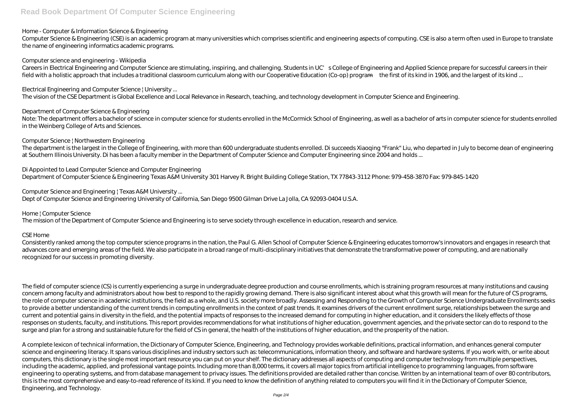# *Home - Computer & Information Science & Engineering*

Computer Science & Engineering (CSE) is an academic program at many universities which comprises scientific and engineering aspects of computing. CSE is also a term often used in Europe to translate the name of engineering informatics academic programs.

#### *Computer science and engineering - Wikipedia*

Careers in Electrical Engineering and Computer Science are stimulating, inspiring, and challenging. Students in UC's College of Engineering and Applied Science prepare for successful careers in their field with a holistic approach that includes a traditional classroom curriculum along with our Cooperative Education (Co-op) program—the first of its kind in 1906, and the largest of its kind ...

Note: The department offers a bachelor of science in computer science for students enrolled in the McCormick School of Engineering, as well as a bachelor of arts in computer science for students enrolled in the Weinberg College of Arts and Sciences.

The department is the largest in the College of Engineering, with more than 600 undergraduate students enrolled. Di succeeds Xiaoqing "Frank" Liu, who departed in July to become dean of engineering at Southern Illinois University. Di has been a faculty member in the Department of Computer Science and Computer Engineering since 2004 and holds...

#### *Electrical Engineering and Computer Science | University ...*

The vision of the CSE Department is Global Excellence and Local Relevance in Research, teaching, and technology development in Computer Science and Engineering.

#### *Department of Computer Science & Engineering*

#### *Computer Science | Northwestern Engineering*

*Di Appointed to Lead Computer Science and Computer Engineering* Department of Computer Science & Engineering Texas A&M University 301 Harvey R. Bright Building College Station, TX 77843-3112 Phone: 979-458-3870 Fax: 979-845-1420

#### *Computer Science and Engineering | Texas A&M University ...*

Dept of Computer Science and Engineering University of California, San Diego 9500 Gilman Drive La Jolla, CA 92093-0404 U.S.A.

# *Home | Computer Science*

The mission of the Department of Computer Science and Engineering is to serve society through excellence in education, research and service.

#### *CSE Home*

Consistently ranked among the top computer science programs in the nation, the Paul G. Allen School of Computer Science & Engineering educates tomorrow's innovators and engages in research that advances core and emerging areas of the field. We also participate in a broad range of multi-disciplinary initiatives that demonstrate the transformative power of computing, and are nationally recognized for our success in promoting diversity.

The field of computer science (CS) is currently experiencing a surge in undergraduate degree production and course enrollments, which is straining program resources at many institutions and causing concern among faculty and administrators about how best to respond to the rapidly growing demand. There is also significant interest about what this growth will mean for the future of CS programs, the role of computer science in academic institutions, the field as a whole, and U.S. society more broadly. Assessing and Responding to the Growth of Computer Science Undergraduate Enrollments seeks to provide a better understanding of the current trends in computing enrollments in the context of past trends. It examines drivers of the current enrollment surge, relationships between the surge and current and potential gains in diversity in the field, and the potential impacts of responses to the increased demand for computing in higher education, and it considers the likely effects of those responses on students, faculty, and institutions. This report provides recommendations for what institutions of higher education, government agencies, and the private sector can do to respond to the surge and plan for a strong and sustainable future for the field of CS in general, the health of the institutions of higher education, and the prosperity of the nation.

A complete lexicon of technical information, the Dictionary of Computer Science, Engineering, and Technology provides workable definitions, practical information, and enhances general computer science and engineering literacy. It spans various disciplines and industry sectors such as: telecommunications, information theory, and software and hardware systems. If you work with, or write about computers, this dictionary is the single most important resource you can put on your shelf. The dictionary addresses all aspects of computing and computer technology from multiple perspectives, including the academic, applied, and professional vantage points. Including more than 8,000 terms, it covers all major topics from artificial intelligence to programming languages, from software engineering to operating systems, and from database management to privacy issues. The definitions provided are detailed rather than concise. Written by an international team of over 80 contributors, this is the most comprehensive and easy-to-read reference of its kind. If you need to know the definition of anything related to computers you will find it in the Dictionary of Computer Science, Engineering, and Technology.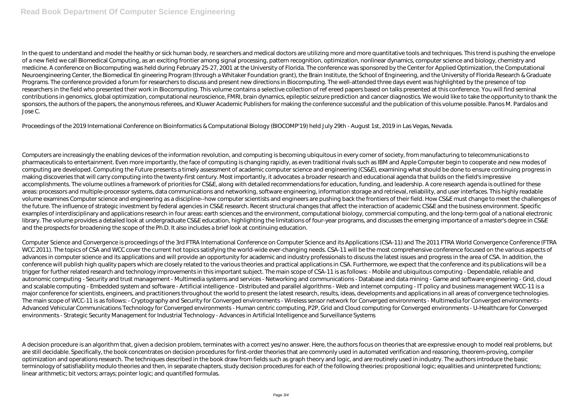In the quest to understand and model the healthy or sick human body, re searchers and medical doctors are utilizing more and more quantitative tools and techniques. This trend is pushing the envelope of a new field we call Biomedical Computing, as an exciting frontier among signal processing, pattern recognition, optimization, nonlinear dynamics, computer science and biology, chemistry and medicine. A conference on Biocomputing was held during February 25-27, 2001 at the University of Florida. The conference was sponsored by the Center for Applied Optimization, the Computational Neuroengineering Center, the Biomedical En gineering Program (through a Whitaker Foundation grant), the Brain Institute, the School of Engineering, and the University of Florida Research & Graduate Programs. The conference provided a forum for researchers to discuss and present new directions in Biocomputing. The well-attended three days event was highlighted by the presence of top researchers in the field who presented their work in Biocomputing. This volume contains a selective collection of ref ereed papers based on talks presented at this conference. You will find seminal contributions in genomics, global optimization, computational neuroscience, FMRI, brain dynamics, epileptic seizure prediction and cancer diagnostics. We would like to take the opportunity to thank the sponsors, the authors of the papers, the anonymous referees, and Kluwer Academic Publishers for making the conference successful and the publication of this volume possible. Panos M. Pardalos and Jose C.

Proceedings of the 2019 International Conference on Bioinformatics & Computational Biology (BIOCOMP'19) held July 29th - August 1st, 2019 in Las Vegas, Nevada.

Computers are increasingly the enabling devices of the information revolution, and computing is becoming ubiquitous in every corner of society, from manufacturing to telecommunications to pharmaceuticals to entertainment. Even more importantly, the face of computing is changing rapidly, as even traditional rivals such as IBM and Apple Computer begin to cooperate and new modes of computing are developed. Computing the Future presents a timely assessment of academic computer science and engineering (CS&E), examining what should be done to ensure continuing progress in making discoveries that will carry computing into the twenty-first century. Most importantly, it advocates a broader research and educational agenda that builds on the field's impressive accomplishments. The volume outlines a framework of priorities for CS&E, along with detailed recommendations for education, funding, and leadership. A core research agenda is outlined for these areas: processors and multiple-processor systems, data communications and networking, software engineering, information storage and retrieval, reliability, and user interfaces. This highly readable volume examines Computer science and engineering as a discipline--how computer scientists and engineers are pushing back the frontiers of their field. How CS&E must change to meet the challenges of the future. The influence of strategic investment by federal agencies in CS&E research. Recent structural changes that affect the interaction of academic CS&E and the business environment. Specific examples of interdisciplinary and applications research in four areas: earth sciences and the environment, computational biology, commercial computing, and the long-term goal of a national electronic library. The volume provides a detailed look at undergraduate CS&E education, highlighting the limitations of four-year programs, and discusses the emerging importance of a master's degree in CS&E and the prospects for broadening the scope of the Ph.D. It also includes a brief look at continuing education.

A decision procedure is an algorithm that, given a decision problem, terminates with a correct yes/no answer. Here, the authors focus on theories that are expressive enough to model real problems, but are still decidable. Specifically, the book concentrates on decision procedures for first-order theories that are commonly used in automated verification and reasoning, theorem-proving, compiler optimization and operations research. The techniques described in the book draw from fields such as graph theory and logic, and are routinely used in industry. The authors introduce the basic terminology of satisfiability modulo theories and then, in separate chapters, study decision procedures for each of the following theories: propositional logic; equalities and uninterpreted functions; linear arithmetic; bit vectors; arrays; pointer logic; and quantified formulas.

Computer Science and Convergence is proceedings of the 3rd FTRA International Conference on Computer Science and its Applications (CSA-11) and The 2011 FTRA World Convergence Conference (FTRA WCC 2011). The topics of CSA and WCC cover the current hot topics satisfying the world-wide ever-changing needs. CSA-11 will be the most comprehensive conference focused on the various aspects of advances in computer science and its applications and will provide an opportunity for academic and industry professionals to discuss the latest issues and progress in the area of CSA. In addition, the conference will publish high quality papers which are closely related to the various theories and practical applications in CSA. Furthermore, we expect that the conference and its publications will be a trigger for further related research and technology improvements in this important subject. The main scope of CSA-11 is as follows: - Mobile and ubiquitous computing - Dependable, reliable and autonomic computing - Security and trust management - Multimedia systems and services - Networking and communications - Database and data mining - Game and software engineering - Grid, cloud and scalable computing - Embedded system and software - Artificial intelligence - Distributed and parallel algorithms - Web and internet computing - IT policy and business management WCC-11 is a major conference for scientists, engineers, and practitioners throughout the world to present the latest research, results, ideas, developments and applications in all areas of convergence technologies. The main scope of WCC-11 is as follows: - Cryptography and Security for Converged environments - Wireless sensor network for Converged environments - Multimedia for Converged environments - Advanced Vehicular Communications Technology for Converged environments - Human centric computing, P2P, Grid and Cloud computing for Converged environments - U-Healthcare for Converged environments - Strategic Security Management for Industrial Technology - Advances in Artificial Intelligence and Surveillance Systems